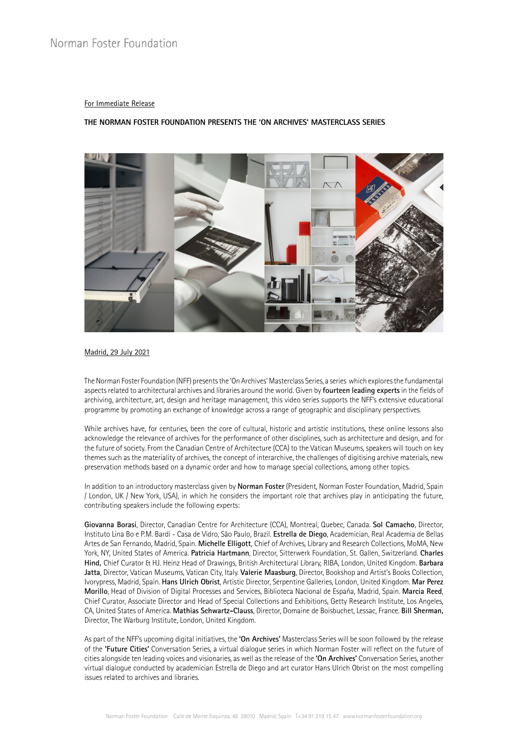# Norman Foster Foundation

### For Immediate Release

### **THE NORMAN FOSTER FOUNDATION PRESENTS THE 'ON ARCHIVES' MASTERCLASS SERIES**



#### Madrid, 29 July 2021

The Norman Foster Foundation (NFF) presents the 'On Archives' Masterclass Series, a series which explores the fundamental aspects related to architectural archives and libraries around the world. Given by **fourteen leading experts** in the fields of archiving, architecture, art, design and heritage management, this video series supports the NFF's extensive educational programme by promoting an exchange of knowledge across a range of geographic and disciplinary perspectives.

While archives have, for centuries, been the core of cultural, historic and artistic institutions, these online lessons also acknowledge the relevance of archives for the performance of other disciplines, such as architecture and design, and for the future of society. From the Canadian Centre of Architecture (CCA) to the Vatican Museums, speakers will touch on key themes such as the materiality of archives, the concept of interarchive, the challenges of digitising archive materials, new preservation methods based on a dynamic order and how to manage special collections, among other topics.

In addition to an introductory masterclass given by **Norman Foster** (President, Norman Foster Foundation, Madrid, Spain / London, UK / New York, USA), in which he considers the important role that archives play in anticipating the future, contributing speakers include the following experts:

**Giovanna Borasi**, Director, Canadian Centre for Architecture (CCA), Montreal, Quebec, Canada. **Sol Camacho**, Director, Instituto Lina Bo e P.M. Bardi - Casa de Vidro, São Paulo, Brazil. **Estrella de Diego**, Academician, Real Academia de Bellas Artes de San Fernando, Madrid, Spain. **Michelle Elligott**, Chief of Archives, Library and Research Collections, MoMA, New York, NY, United States of America. **Patricia Hartmann**, Director, Sitterwerk Foundation, St. Gallen, Switzerland. **Charles Hind,** Chief Curator & HJ. Heinz Head of Drawings, British Architectural Library, RIBA, London, United Kingdom. **Barbara Jatta**, Director, Vatican Museums, Vatican City, Italy. **Valerie Maasburg**, Director, Bookshop and Artist's Books Collection, Ivorypress, Madrid, Spain. **Hans Ulrich Obrist**, Artistic Director, Serpentine Galleries, London, United Kingdom. **Mar Perez Morillo**, Head of Division of Digital Processes and Services, Biblioteca Nacional de España, Madrid, Spain. **Marcia Reed**, Chief Curator, Associate Director and Head of Special Collections and Exhibitions, Getty Research Institute, Los Angeles, CA, United States of America. **Mathias Schwartz-Clauss**, Director, Domaine de Boisbuchet, Lessac, France. **Bill Sherman,**  Director, The Warburg Institute, London, United Kingdom.

As part of the NFF's upcoming digital initiatives, the **'On Archives'** Masterclass Series will be soon followed by the release of the **'Future Cities'** Conversation Series, a virtual dialogue series in which Norman Foster will reflect on the future of cities alongside ten leading voices and visionaries, as well as the release of the **'On Archives'** Conversation Series, another virtual dialogue conducted by academician Estrella de Diego and art curator Hans Ulrich Obrist on the most compelling issues related to archives and libraries.